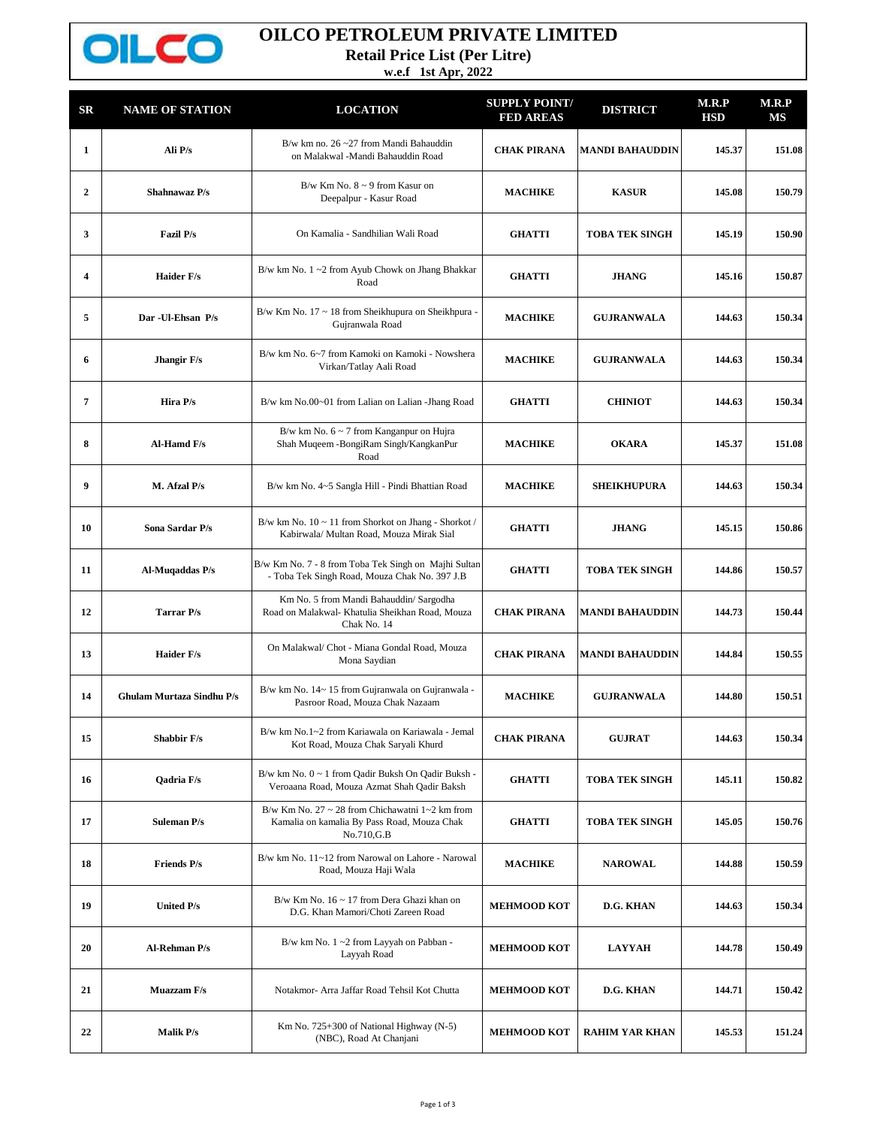

## **OILCO PETROLEUM PRIVATE LIMITED**

**Retail Price List (Per Litre)**

**w.e.f 1st Apr, 2022**

| $_{\rm SR}$    | <b>NAME OF STATION</b>    | <b>LOCATION</b>                                                                                                    | <b>SUPPLY POINT/</b><br><b>FED AREAS</b> | <b>DISTRICT</b>        | M.R.P<br>HSD | M.R.P<br>MS |
|----------------|---------------------------|--------------------------------------------------------------------------------------------------------------------|------------------------------------------|------------------------|--------------|-------------|
| $\mathbf{1}$   | Ali P/s                   | B/w km no. $26 - 27$ from Mandi Bahauddin<br>on Malakwal -Mandi Bahauddin Road                                     | <b>CHAK PIRANA</b>                       | <b>MANDI BAHAUDDIN</b> | 145.37       | 151.08      |
| $\overline{2}$ | Shahnawaz P/s             | B/w Km No. $8 \sim 9$ from Kasur on<br>Deepalpur - Kasur Road                                                      | <b>MACHIKE</b>                           | <b>KASUR</b>           | 145.08       | 150.79      |
| 3              | Fazil P/s                 | On Kamalia - Sandhilian Wali Road                                                                                  | <b>GHATTI</b>                            | <b>TOBA TEK SINGH</b>  | 145.19       | 150.90      |
| 4              | Haider F/s                | B/w km No. 1~2 from Ayub Chowk on Jhang Bhakkar<br>Road                                                            | <b>GHATTI</b>                            | <b>JHANG</b>           | 145.16       | 150.87      |
| 5              | Dar - Ul-Ehsan P/s        | B/w Km No. 17 ~ 18 from Sheikhupura on Sheikhpura -<br>Gujranwala Road                                             | <b>MACHIKE</b>                           | <b>GUJRANWALA</b>      | 144.63       | 150.34      |
| 6              | Jhangir F/s               | B/w km No. 6~7 from Kamoki on Kamoki - Nowshera<br>Virkan/Tatlay Aali Road                                         | <b>MACHIKE</b>                           | <b>GUJRANWALA</b>      | 144.63       | 150.34      |
| 7              | Hira P/s                  | B/w km No.00~01 from Lalian on Lalian -Jhang Road                                                                  | <b>GHATTI</b>                            | <b>CHINIOT</b>         | 144.63       | 150.34      |
| 8              | Al-Hamd F/s               | B/w km No. $6 \sim 7$ from Kanganpur on Hujra<br>Shah Muqeem -BongiRam Singh/KangkanPur<br>Road                    | <b>MACHIKE</b>                           | <b>OKARA</b>           | 145.37       | 151.08      |
| 9              | M. Afzal P/s              | B/w km No. 4~5 Sangla Hill - Pindi Bhattian Road                                                                   | <b>MACHIKE</b>                           | <b>SHEIKHUPURA</b>     | 144.63       | 150.34      |
| 10             | Sona Sardar P/s           | B/w km No. $10 \sim 11$ from Shorkot on Jhang - Shorkot /<br>Kabirwala/ Multan Road, Mouza Mirak Sial              | <b>GHATTI</b>                            | <b>JHANG</b>           | 145.15       | 150.86      |
| 11             | Al-Muqaddas P/s           | B/w Km No. 7 - 8 from Toba Tek Singh on Majhi Sultan<br>- Toba Tek Singh Road, Mouza Chak No. 397 J.B              | <b>GHATTI</b>                            | <b>TOBA TEK SINGH</b>  | 144.86       | 150.57      |
| 12             | <b>Tarrar P/s</b>         | Km No. 5 from Mandi Bahauddin/ Sargodha<br>Road on Malakwal- Khatulia Sheikhan Road, Mouza<br>Chak No. 14          | <b>CHAK PIRANA</b>                       | <b>MANDI BAHAUDDIN</b> | 144.73       | 150.44      |
| 13             | <b>Haider F/s</b>         | On Malakwal/ Chot - Miana Gondal Road, Mouza<br>Mona Saydian                                                       | <b>CHAK PIRANA</b>                       | <b>MANDI BAHAUDDIN</b> | 144.84       | 150.55      |
| 14             | Ghulam Murtaza Sindhu P/s | B/w km No. 14~15 from Gujranwala on Gujranwala -<br>Pasroor Road, Mouza Chak Nazaam                                | <b>MACHIKE</b>                           | <b>GUJRANWALA</b>      | 144.80       | 150.51      |
| 15             | Shabbir F/s               | B/w km No.1~2 from Kariawala on Kariawala - Jemal<br>Kot Road, Mouza Chak Saryali Khurd                            | <b>CHAK PIRANA</b>                       | <b>GUJRAT</b>          | 144.63       | 150.34      |
| 16             | Qadria F/s                | B/w km No. 0 ~ 1 from Qadir Buksh On Qadir Buksh -<br>Veroaana Road, Mouza Azmat Shah Qadir Baksh                  | <b>GHATTI</b>                            | <b>TOBA TEK SINGH</b>  | 145.11       | 150.82      |
| 17             | <b>Suleman P/s</b>        | B/w Km No. 27 $\sim$ 28 from Chichawatni 1~2 km from<br>Kamalia on kamalia By Pass Road, Mouza Chak<br>No.710, G.B | <b>GHATTI</b>                            | <b>TOBA TEK SINGH</b>  | 145.05       | 150.76      |
| 18             | <b>Friends P/s</b>        | B/w km No. 11~12 from Narowal on Lahore - Narowal<br>Road, Mouza Haji Wala                                         | <b>MACHIKE</b>                           | <b>NAROWAL</b>         | 144.88       | 150.59      |
| 19             | <b>United P/s</b>         | B/w Km No. $16 \sim 17$ from Dera Ghazi khan on<br>D.G. Khan Mamori/Choti Zareen Road                              | <b>MEHMOOD KOT</b>                       | D.G. KHAN              | 144.63       | 150.34      |
| 20             | Al-Rehman P/s             | B/w km No. 1~2 from Layyah on Pabban -<br>Layyah Road                                                              | <b>MEHMOOD KOT</b>                       | <b>LAYYAH</b>          | 144.78       | 150.49      |
| 21             | Muazzam F/s               | Notakmor- Arra Jaffar Road Tehsil Kot Chutta                                                                       | <b>MEHMOOD KOT</b>                       | D.G. KHAN              | 144.71       | 150.42      |
| 22             | <b>Malik P/s</b>          | Km No. 725+300 of National Highway (N-5)<br>(NBC), Road At Chanjani                                                | <b>MEHMOOD KOT</b>                       | RAHIM YAR KHAN         | 145.53       | 151.24      |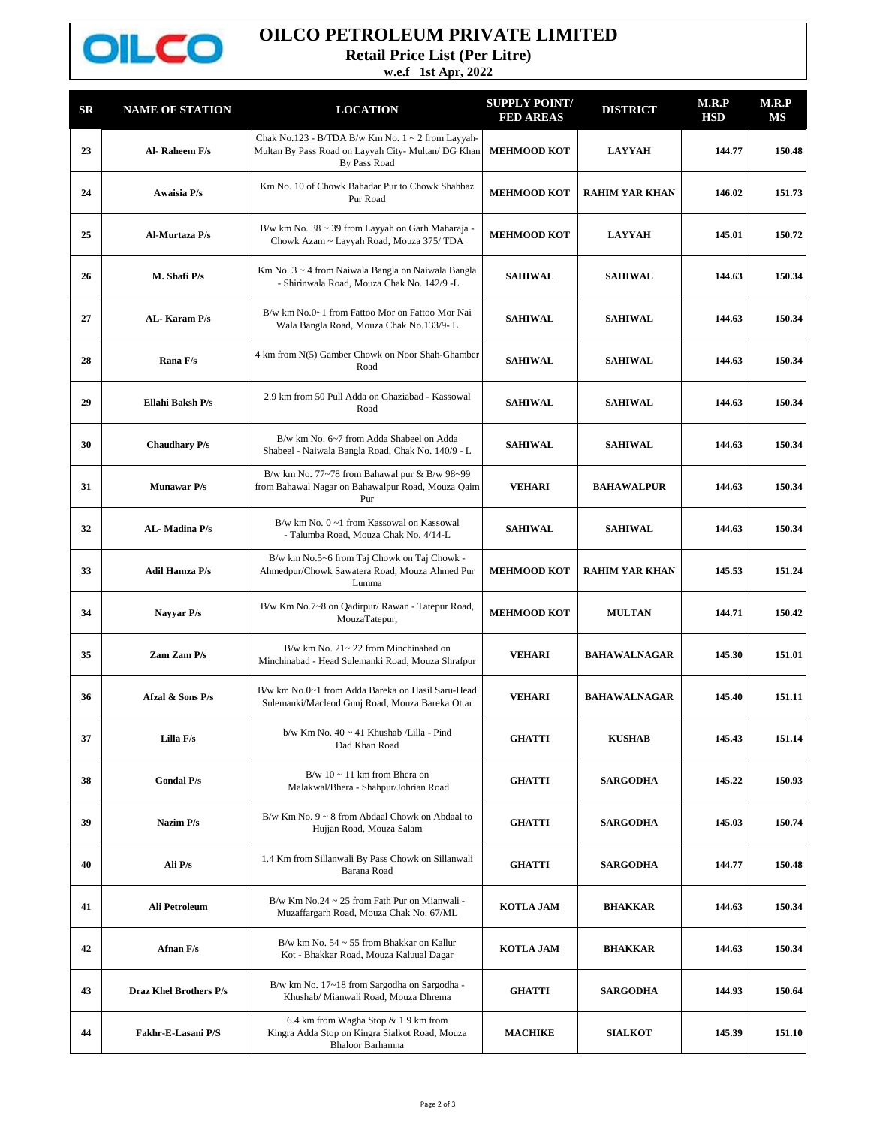

## **OILCO PETROLEUM PRIVATE LIMITED**

**Retail Price List (Per Litre)**

**w.e.f 1st Apr, 2022**

| SR | <b>NAME OF STATION</b>        | <b>LOCATION</b>                                                                                                               | <b>SUPPLY POINT/</b><br><b>FED AREAS</b> | <b>DISTRICT</b>       | M.R.P<br>HSD | M.R.P<br>MS   |
|----|-------------------------------|-------------------------------------------------------------------------------------------------------------------------------|------------------------------------------|-----------------------|--------------|---------------|
| 23 | Al-Raheem F/s                 | Chak No.123 - B/TDA B/w Km No. $1 \sim 2$ from Layyah-<br>Multan By Pass Road on Layyah City- Multan/ DG Khan<br>By Pass Road | <b>MEHMOOD KOT</b>                       | <b>LAYYAH</b>         | 144.77       | 150.48        |
| 24 | Awaisia P/s                   | Km No. 10 of Chowk Bahadar Pur to Chowk Shahbaz<br>Pur Road                                                                   | <b>MEHMOOD KOT</b>                       | <b>RAHIM YAR KHAN</b> | 146.02       | 151.73        |
| 25 | Al-Murtaza P/s                | B/w km No. 38 ~ 39 from Layyah on Garh Maharaja -<br>Chowk Azam ~ Layyah Road, Mouza 375/ TDA                                 | <b>MEHMOOD KOT</b>                       | <b>LAYYAH</b>         | 145.01       | 150.72        |
| 26 | M. Shafi P/s                  | Km No. 3 ~ 4 from Naiwala Bangla on Naiwala Bangla<br>- Shirinwala Road, Mouza Chak No. 142/9 -L                              | <b>SAHIWAL</b>                           | <b>SAHIWAL</b>        | 144.63       | 150.34        |
| 27 | AL-Karam P/s                  | B/w km No.0~1 from Fattoo Mor on Fattoo Mor Nai<br>Wala Bangla Road, Mouza Chak No.133/9-L                                    | <b>SAHIWAL</b>                           | <b>SAHIWAL</b>        | 144.63       | 150.34        |
| 28 | Rana F/s                      | 4 km from N(5) Gamber Chowk on Noor Shah-Ghamber<br>Road                                                                      | <b>SAHIWAL</b>                           | <b>SAHIWAL</b>        | 144.63       | 150.34        |
| 29 | Ellahi Baksh P/s              | 2.9 km from 50 Pull Adda on Ghaziabad - Kassowal<br>Road                                                                      | <b>SAHIWAL</b>                           | <b>SAHIWAL</b>        | 144.63       | 150.34        |
| 30 | <b>Chaudhary P/s</b>          | B/w km No. 6~7 from Adda Shabeel on Adda<br>Shabeel - Naiwala Bangla Road, Chak No. 140/9 - L                                 | <b>SAHIWAL</b>                           | <b>SAHIWAL</b>        | 144.63       | 150.34        |
| 31 | <b>Munawar P/s</b>            | B/w km No. 77~78 from Bahawal pur & B/w 98~99<br>from Bahawal Nagar on Bahawalpur Road, Mouza Qaim<br>Pur                     | <b>VEHARI</b>                            | <b>BAHAWALPUR</b>     | 144.63       | 150.34        |
| 32 | AL-Madina P/s                 | B/w km No. 0~1 from Kassowal on Kassowal<br>- Talumba Road, Mouza Chak No. 4/14-L                                             | <b>SAHIWAL</b>                           | <b>SAHIWAL</b>        | 144.63       | 150.34        |
| 33 | <b>Adil Hamza P/s</b>         | B/w km No.5~6 from Taj Chowk on Taj Chowk -<br>Ahmedpur/Chowk Sawatera Road, Mouza Ahmed Pur<br>Lumma                         | <b>MEHMOOD KOT</b>                       | <b>RAHIM YAR KHAN</b> | 145.53       | 151.24        |
| 34 | Nayyar P/s                    | B/w Km No.7~8 on Qadirpur/ Rawan - Tatepur Road,<br>MouzaTatepur,                                                             | <b>MEHMOOD KOT</b>                       | <b>MULTAN</b>         | 144.71       | 150.42        |
| 35 | Zam Zam P/s                   | $B/w$ km No. $21 \sim 22$ from Minchinabad on<br>Minchinabad - Head Sulemanki Road, Mouza Shrafpur                            | <b>VEHARI</b>                            | <b>BAHAWALNAGAR</b>   | 145.30       | 151.01        |
| 36 | Afzal & Sons P/s              | B/w km No.0~1 from Adda Bareka on Hasil Saru-Head<br>Sulemanki/Macleod Gunj Road, Mouza Bareka Ottar                          | <b>VEHARI</b>                            | <b>BAHAWALNAGAR</b>   | 145.40       | 151.11        |
| 37 | Lilla F/s                     | b/w Km No. 40 ~ 41 Khushab /Lilla - Pind<br>Dad Khan Road                                                                     | <b>GHATTI</b>                            | <b>KUSHAB</b>         | 145.43       | 151.14        |
| 38 | <b>Gondal P/s</b>             | $B/w 10 \sim 11$ km from Bhera on<br>Malakwal/Bhera - Shahpur/Johrian Road                                                    | <b>GHATTI</b>                            | <b>SARGODHA</b>       | 145.22       | 150.93        |
| 39 | Nazim P/s                     | B/w Km No. $9 \sim 8$ from Abdaal Chowk on Abdaal to<br>Hujjan Road, Mouza Salam                                              | <b>GHATTI</b>                            | <b>SARGODHA</b>       | 145.03       | 150.74        |
| 40 | Ali P/s                       | 1.4 Km from Sillanwali By Pass Chowk on Sillanwali<br>Barana Road                                                             | <b>GHATTI</b>                            | <b>SARGODHA</b>       | 144.77       | 150.48        |
| 41 | Ali Petroleum                 | B/w Km No.24 ~ 25 from Fath Pur on Mianwali -<br>Muzaffargarh Road, Mouza Chak No. 67/ML                                      | <b>KOTLA JAM</b>                         | <b>BHAKKAR</b>        | 144.63       | 150.34        |
| 42 | Afnan F/s                     | B/w km No. $54 \sim 55$ from Bhakkar on Kallur<br>Kot - Bhakkar Road, Mouza Kaluual Dagar                                     | <b>KOTLA JAM</b>                         | <b>BHAKKAR</b>        | 144.63       | 150.34        |
| 43 | <b>Draz Khel Brothers P/s</b> | B/w km No. 17~18 from Sargodha on Sargodha -<br>Khushab/ Mianwali Road, Mouza Dhrema                                          | <b>GHATTI</b>                            | <b>SARGODHA</b>       | 144.93       | 150.64        |
| 44 | Fakhr-E-Lasani P/S            | 6.4 km from Wagha Stop & 1.9 km from<br>Kingra Adda Stop on Kingra Sialkot Road, Mouza<br><b>Bhaloor Barhamna</b>             | <b>MACHIKE</b>                           | <b>SIALKOT</b>        | 145.39       | <b>151.10</b> |